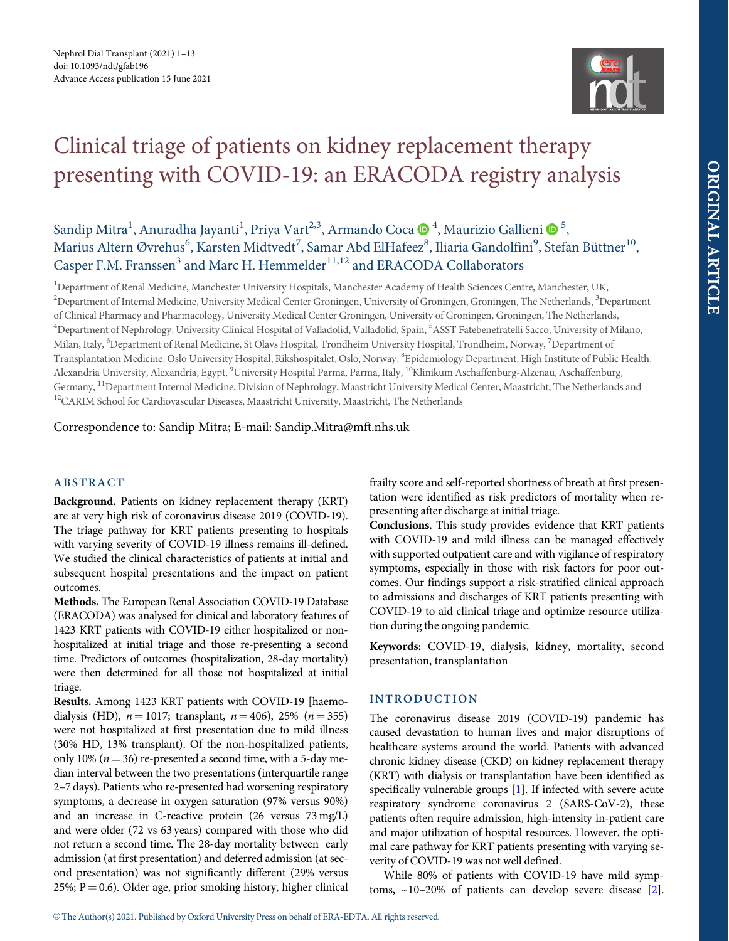

# <span id="page-0-0"></span>Clinical triage of patients on kidney replacement therapy presenting with COVID-19: an ERACODA registry analysis

Sandip Mitra<sup>1</sup>, Anuradha Jayanti<sup>1</sup>, Priya Vart<sup>2,3</sup>, Armando Coca  $\bullet$ <sup>4</sup>, Maurizio Gallieni  $\bullet$ <sup>5</sup>, Marius Altern Øvrehus<sup>6</sup>, Karsten Midtvedt<sup>7</sup>, Samar Abd ElHafeez<sup>8</sup>, Iliaria Gandolfini<sup>9</sup>, Stefan Büttner<sup>10</sup>, Casper F.M. Franssen<sup>3</sup> and Marc H. Hemmelder<sup>11,12</sup> and ERACODA Collaborators

<sup>1</sup>Department of Renal Medicine, Manchester University Hospitals, Manchester Academy of Health Sciences Centre, Manchester, UK, <sup>2</sup>Department of Internal Medicine, University Medical Center Groningen, University of Groningen, Groningen, The Netherlands, <sup>3</sup>Department of Clinical Pharmacy and Pharmacology, University Medical Center Groningen, University of Groningen, Groningen, The Netherlands, <sup>4</sup>Department of Nephrology, University Clinical Hospital of Valladolid, Valladolid, Spain, <sup>5</sup>ASST Fatebenefratelli Sacco, University of Milano, Milan, Italy, <sup>6</sup>Department of Renal Medicine, St Olavs Hospital, Trondheim University Hospital, Trondheim, Norway, <sup>7</sup>Department of Transplantation Medicine, Oslo University Hospital, Rikshospitalet, Oslo, Norway, <sup>8</sup>Epidemiology Department, High Institute of Public Health, Alexandria University, Alexandria, Egypt, <sup>9</sup>University Hospital Parma, Parma, Italy, <sup>10</sup>Klinikum Aschaffenburg-Alzenau, Aschaffenburg, Germany, 11Department Internal Medicine, Division of Nephrology, Maastricht University Medical Center, Maastricht, The Netherlands and <sup>12</sup>CARIM School for Cardiovascular Diseases, Maastricht University, Maastricht, The Netherlands

Correspondence to: Sandip Mitra; E-mail: Sandip.Mitra@mft.nhs.uk

# ABSTRACT

Background. Patients on kidney replacement therapy (KRT) are at very high risk of coronavirus disease 2019 (COVID-19). The triage pathway for KRT patients presenting to hospitals with varying severity of COVID-19 illness remains ill-defined. We studied the clinical characteristics of patients at initial and subsequent hospital presentations and the impact on patient outcomes.

Methods. The European Renal Association COVID-19 Database (ERACODA) was analysed for clinical and laboratory features of 1423 KRT patients with COVID-19 either hospitalized or nonhospitalized at initial triage and those re-presenting a second time. Predictors of outcomes (hospitalization, 28-day mortality) were then determined for all those not hospitalized at initial triage.

Results. Among 1423 KRT patients with COVID-19 [haemodialysis (HD),  $n = 1017$ ; transplant,  $n = 406$ ), 25% ( $n = 355$ ) were not hospitalized at first presentation due to mild illness (30% HD, 13% transplant). Of the non-hospitalized patients, only 10% ( $n = 36$ ) re-presented a second time, with a 5-day median interval between the two presentations (interquartile range 2–7 days). Patients who re-presented had worsening respiratory symptoms, a decrease in oxygen saturation (97% versus 90%) and an increase in C-reactive protein (26 versus 73 mg/L) and were older (72 vs 63 years) compared with those who did not return a second time. The 28-day mortality between early admission (at first presentation) and deferred admission (at second presentation) was not significantly different (29% versus 25%;  $P = 0.6$ ). Older age, prior smoking history, higher clinical frailty score and self-reported shortness of breath at first presentation were identified as risk predictors of mortality when representing after discharge at initial triage.

Conclusions. This study provides evidence that KRT patients with COVID-19 and mild illness can be managed effectively with supported outpatient care and with vigilance of respiratory symptoms, especially in those with risk factors for poor outcomes. Our findings support a risk-stratified clinical approach to admissions and discharges of KRT patients presenting with COVID-19 to aid clinical triage and optimize resource utilization during the ongoing pandemic.

Keywords: COVID-19, dialysis, kidney, mortality, second presentation, transplantation

# INTRODUCTION

The coronavirus disease 2019 (COVID-19) pandemic has caused devastation to human lives and major disruptions of healthcare systems around the world. Patients with advanced chronic kidney disease (CKD) on kidney replacement therapy (KRT) with dialysis or transplantation have been identified as specifically vulnerable groups [\[1\]](#page-12-0). If infected with severe acute respiratory syndrome coronavirus 2 (SARS-CoV-2), these patients often require admission, high-intensity in-patient care and major utilization of hospital resources. However, the optimal care pathway for KRT patients presenting with varying severity of COVID-19 was not well defined.

While 80% of patients with COVID-19 have mild symptoms, ~10–20% of patients can develop severe disease [[2](#page-12-0)].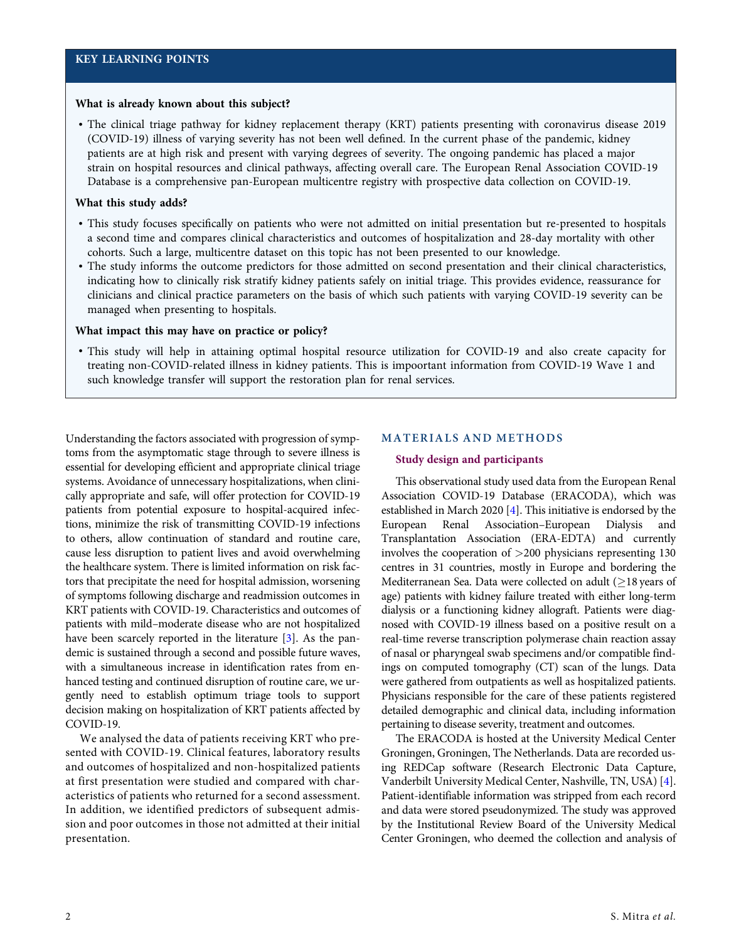#### <span id="page-1-0"></span>What is already known about this subject?

• The clinical triage pathway for kidney replacement therapy (KRT) patients presenting with coronavirus disease 2019 (COVID-19) illness of varying severity has not been well defined. In the current phase of the pandemic, kidney patients are at high risk and present with varying degrees of severity. The ongoing pandemic has placed a major strain on hospital resources and clinical pathways, affecting overall care. The European Renal Association COVID-19 Database is a comprehensive pan-European multicentre registry with prospective data collection on COVID-19.

## What this study adds?

- This study focuses specifically on patients who were not admitted on initial presentation but re-presented to hospitals a second time and compares clinical characteristics and outcomes of hospitalization and 28-day mortality with other cohorts. Such a large, multicentre dataset on this topic has not been presented to our knowledge.
- The study informs the outcome predictors for those admitted on second presentation and their clinical characteristics, indicating how to clinically risk stratify kidney patients safely on initial triage. This provides evidence, reassurance for clinicians and clinical practice parameters on the basis of which such patients with varying COVID-19 severity can be managed when presenting to hospitals.

#### What impact this may have on practice or policy?

• This study will help in attaining optimal hospital resource utilization for COVID-19 and also create capacity for treating non-COVID-related illness in kidney patients. This is impoortant information from COVID-19 Wave 1 and such knowledge transfer will support the restoration plan for renal services.

Understanding the factors associated with progression of symptoms from the asymptomatic stage through to severe illness is essential for developing efficient and appropriate clinical triage systems. Avoidance of unnecessary hospitalizations, when clinically appropriate and safe, will offer protection for COVID-19 patients from potential exposure to hospital-acquired infections, minimize the risk of transmitting COVID-19 infections to others, allow continuation of standard and routine care, cause less disruption to patient lives and avoid overwhelming the healthcare system. There is limited information on risk factors that precipitate the need for hospital admission, worsening of symptoms following discharge and readmission outcomes in KRT patients with COVID-19. Characteristics and outcomes of patients with mild–moderate disease who are not hospitalized have been scarcely reported in the literature [\[3](#page-12-0)]. As the pandemic is sustained through a second and possible future waves, with a simultaneous increase in identification rates from enhanced testing and continued disruption of routine care, we urgently need to establish optimum triage tools to support decision making on hospitalization of KRT patients affected by COVID-19.

We analysed the data of patients receiving KRT who presented with COVID-19. Clinical features, laboratory results and outcomes of hospitalized and non-hospitalized patients at first presentation were studied and compared with characteristics of patients who returned for a second assessment. In addition, we identified predictors of subsequent admission and poor outcomes in those not admitted at their initial presentation.

#### MATERIALS AND METHODS

#### Study design and participants

This observational study used data from the European Renal Association COVID-19 Database (ERACODA), which was established in March 2020 [[4](#page-12-0)]. This initiative is endorsed by the European Renal Association–European Dialysis and Transplantation Association (ERA-EDTA) and currently involves the cooperation of >200 physicians representing 130 centres in 31 countries, mostly in Europe and bordering the Mediterranean Sea. Data were collected on adult  $( \geq 18$  years of age) patients with kidney failure treated with either long-term dialysis or a functioning kidney allograft. Patients were diagnosed with COVID-19 illness based on a positive result on a real-time reverse transcription polymerase chain reaction assay of nasal or pharyngeal swab specimens and/or compatible findings on computed tomography (CT) scan of the lungs. Data were gathered from outpatients as well as hospitalized patients. Physicians responsible for the care of these patients registered detailed demographic and clinical data, including information pertaining to disease severity, treatment and outcomes.

The ERACODA is hosted at the University Medical Center Groningen, Groningen, The Netherlands. Data are recorded using REDCap software (Research Electronic Data Capture, Vanderbilt University Medical Center, Nashville, TN, USA) [[4](#page-12-0)]. Patient-identifiable information was stripped from each record and data were stored pseudonymized. The study was approved by the Institutional Review Board of the University Medical Center Groningen, who deemed the collection and analysis of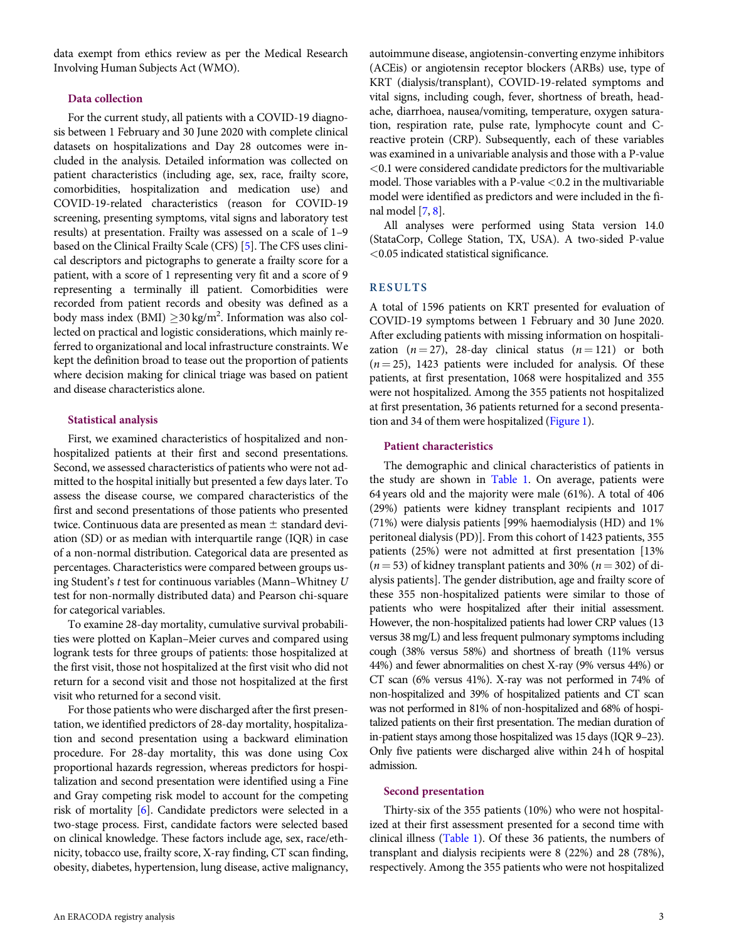<span id="page-2-0"></span>data exempt from ethics review as per the Medical Research Involving Human Subjects Act (WMO).

## Data collection

For the current study, all patients with a COVID-19 diagnosis between 1 February and 30 June 2020 with complete clinical datasets on hospitalizations and Day 28 outcomes were included in the analysis. Detailed information was collected on patient characteristics (including age, sex, race, frailty score, comorbidities, hospitalization and medication use) and COVID-19-related characteristics (reason for COVID-19 screening, presenting symptoms, vital signs and laboratory test results) at presentation. Frailty was assessed on a scale of 1–9 based on the Clinical Frailty Scale (CFS) [[5](#page-12-0)]. The CFS uses clinical descriptors and pictographs to generate a frailty score for a patient, with a score of 1 representing very fit and a score of 9 representing a terminally ill patient. Comorbidities were recorded from patient records and obesity was defined as a body mass index (BMI)  $\geq$ 30 kg/m<sup>2</sup>. Information was also collected on practical and logistic considerations, which mainly referred to organizational and local infrastructure constraints. We kept the definition broad to tease out the proportion of patients where decision making for clinical triage was based on patient and disease characteristics alone.

## Statistical analysis

First, we examined characteristics of hospitalized and nonhospitalized patients at their first and second presentations. Second, we assessed characteristics of patients who were not admitted to the hospital initially but presented a few days later. To assess the disease course, we compared characteristics of the first and second presentations of those patients who presented twice. Continuous data are presented as mean  $\pm$  standard deviation (SD) or as median with interquartile range (IQR) in case of a non-normal distribution. Categorical data are presented as percentages. Characteristics were compared between groups using Student's t test for continuous variables (Mann–Whitney U test for non-normally distributed data) and Pearson chi-square for categorical variables.

To examine 28-day mortality, cumulative survival probabilities were plotted on Kaplan–Meier curves and compared using logrank tests for three groups of patients: those hospitalized at the first visit, those not hospitalized at the first visit who did not return for a second visit and those not hospitalized at the first visit who returned for a second visit.

For those patients who were discharged after the first presentation, we identified predictors of 28-day mortality, hospitalization and second presentation using a backward elimination procedure. For 28-day mortality, this was done using Cox proportional hazards regression, whereas predictors for hospitalization and second presentation were identified using a Fine and Gray competing risk model to account for the competing risk of mortality [\[6](#page-12-0)]. Candidate predictors were selected in a two-stage process. First, candidate factors were selected based on clinical knowledge. These factors include age, sex, race/ethnicity, tobacco use, frailty score, X-ray finding, CT scan finding, obesity, diabetes, hypertension, lung disease, active malignancy, autoimmune disease, angiotensin-converting enzyme inhibitors (ACEis) or angiotensin receptor blockers (ARBs) use, type of KRT (dialysis/transplant), COVID-19-related symptoms and vital signs, including cough, fever, shortness of breath, headache, diarrhoea, nausea/vomiting, temperature, oxygen saturation, respiration rate, pulse rate, lymphocyte count and Creactive protein (CRP). Subsequently, each of these variables was examined in a univariable analysis and those with a P-value <0.1 were considered candidate predictors for the multivariable model. Those variables with a P-value  $<$  0.2 in the multivariable model were identified as predictors and were included in the final model [[7](#page-12-0), [8](#page-12-0)].

All analyses were performed using Stata version 14.0 (StataCorp, College Station, TX, USA). A two-sided P-value <0.05 indicated statistical significance.

## RESULTS

A total of 1596 patients on KRT presented for evaluation of COVID-19 symptoms between 1 February and 30 June 2020. After excluding patients with missing information on hospitalization  $(n = 27)$ , 28-day clinical status  $(n = 121)$  or both  $(n = 25)$ , 1423 patients were included for analysis. Of these patients, at first presentation, 1068 were hospitalized and 355 were not hospitalized. Among the 355 patients not hospitalized at first presentation, 36 patients returned for a second presentation and 34 of them were hospitalized ([Figure 1\)](#page-3-0).

## Patient characteristics

The demographic and clinical characteristics of patients in the study are shown in [Table 1.](#page-4-0) On average, patients were 64 years old and the majority were male (61%). A total of 406 (29%) patients were kidney transplant recipients and 1017 (71%) were dialysis patients [99% haemodialysis (HD) and 1% peritoneal dialysis (PD)]. From this cohort of 1423 patients, 355 patients (25%) were not admitted at first presentation [13%  $(n = 53)$  of kidney transplant patients and 30%  $(n = 302)$  of dialysis patients]. The gender distribution, age and frailty score of these 355 non-hospitalized patients were similar to those of patients who were hospitalized after their initial assessment. However, the non-hospitalized patients had lower CRP values (13 versus 38 mg/L) and less frequent pulmonary symptoms including cough (38% versus 58%) and shortness of breath (11% versus 44%) and fewer abnormalities on chest X-ray (9% versus 44%) or CT scan (6% versus 41%). X-ray was not performed in 74% of non-hospitalized and 39% of hospitalized patients and CT scan was not performed in 81% of non-hospitalized and 68% of hospitalized patients on their first presentation. The median duration of in-patient stays among those hospitalized was 15 days (IQR 9–23). Only five patients were discharged alive within 24 h of hospital admission.

## Second presentation

Thirty-six of the 355 patients (10%) who were not hospitalized at their first assessment presented for a second time with clinical illness [\(Table 1\)](#page-4-0). Of these 36 patients, the numbers of transplant and dialysis recipients were 8 (22%) and 28 (78%), respectively. Among the 355 patients who were not hospitalized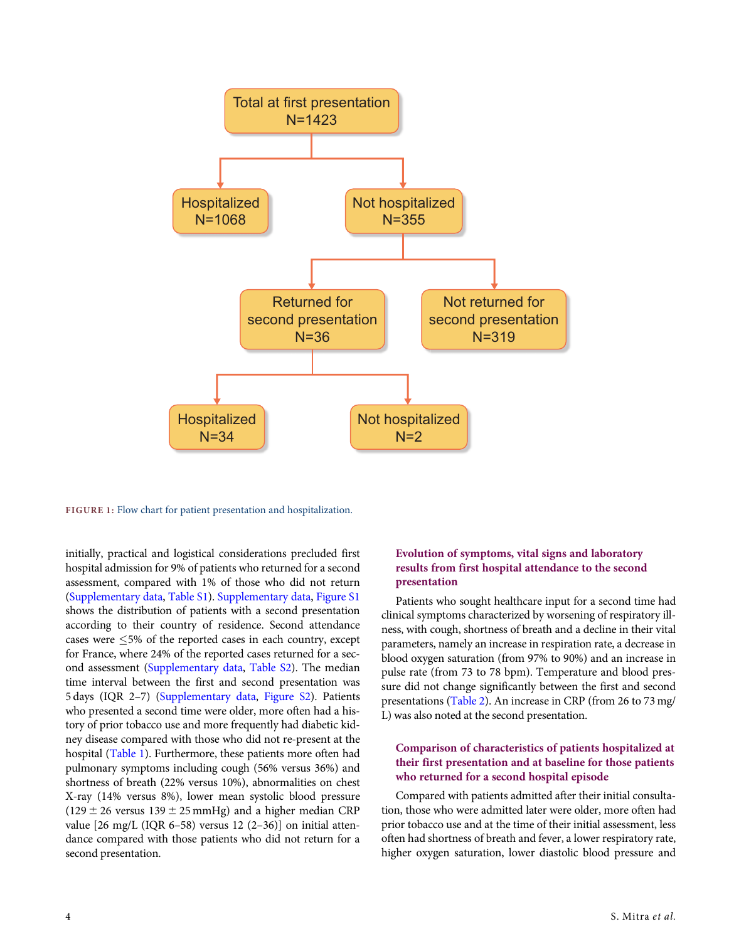<span id="page-3-0"></span>

FIGURE 1: Flow chart for patient presentation and hospitalization.

initially, practical and logistical considerations precluded first hospital admission for 9% of patients who returned for a second assessment, compared with 1% of those who did not return [\(Supplementary data,](https://academic.oup.com/ndt/article-lookup/doi/10.1093/ndt/gfab196#supplementary-data) [Table S1\)](https://academic.oup.com/ndt/article-lookup/doi/10.1093/ndt/gfab196#supplementary-data). [Supplementary data](https://academic.oup.com/ndt/article-lookup/doi/10.1093/ndt/gfab196#supplementary-data), [Figure S1](https://academic.oup.com/ndt/article-lookup/doi/10.1093/ndt/gfab196#supplementary-data) shows the distribution of patients with a second presentation according to their country of residence. Second attendance cases were 5% of the reported cases in each country, except for France, where 24% of the reported cases returned for a second assessment [\(Supplementary data](https://academic.oup.com/ndt/article-lookup/doi/10.1093/ndt/gfab196#supplementary-data), [Table S2\)](https://academic.oup.com/ndt/article-lookup/doi/10.1093/ndt/gfab196#supplementary-data). The median time interval between the first and second presentation was 5 days (IQR 2–7) [\(Supplementary data](https://academic.oup.com/ndt/article-lookup/doi/10.1093/ndt/gfab196#supplementary-data), [Figure S2\)](https://academic.oup.com/ndt/article-lookup/doi/10.1093/ndt/gfab196#supplementary-data). Patients who presented a second time were older, more often had a history of prior tobacco use and more frequently had diabetic kidney disease compared with those who did not re-present at the hospital [\(Table 1\)](#page-4-0). Furthermore, these patients more often had pulmonary symptoms including cough (56% versus 36%) and shortness of breath (22% versus 10%), abnormalities on chest X-ray (14% versus 8%), lower mean systolic blood pressure  $(129 \pm 26 \text{ versus } 139 \pm 25 \text{ mmHg})$  and a higher median CRP value  $[26 \text{ mg/L}$  (IQR 6-58) versus 12 (2-36)] on initial attendance compared with those patients who did not return for a second presentation.

# Evolution of symptoms, vital signs and laboratory results from first hospital attendance to the second presentation

Patients who sought healthcare input for a second time had clinical symptoms characterized by worsening of respiratory illness, with cough, shortness of breath and a decline in their vital parameters, namely an increase in respiration rate, a decrease in blood oxygen saturation (from 97% to 90%) and an increase in pulse rate (from 73 to 78 bpm). Temperature and blood pressure did not change significantly between the first and second presentations [\(Table 2](#page-6-0)). An increase in CRP (from 26 to 73 mg/ L) was also noted at the second presentation.

# Comparison of characteristics of patients hospitalized at their first presentation and at baseline for those patients who returned for a second hospital episode

Compared with patients admitted after their initial consultation, those who were admitted later were older, more often had prior tobacco use and at the time of their initial assessment, less often had shortness of breath and fever, a lower respiratory rate, higher oxygen saturation, lower diastolic blood pressure and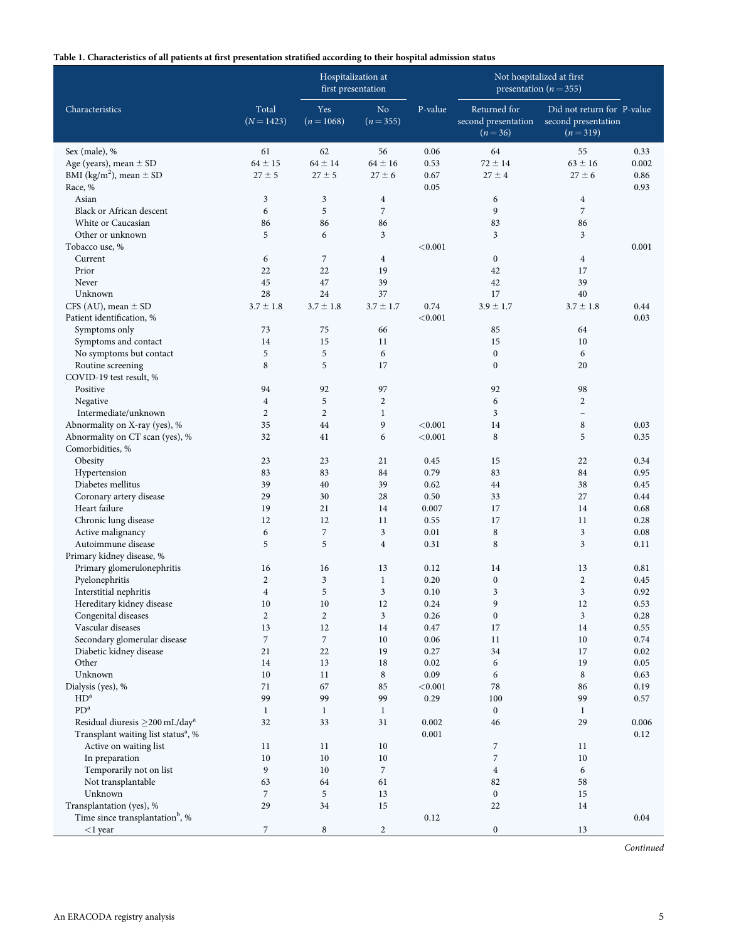## <span id="page-4-0"></span>Table 1. Characteristics of all patients at first presentation stratified according to their hospital admission status

|                                                       |                     | Hospitalization at<br>first presentation |                                  |              | Not hospitalized at first<br>presentation ( $n = 355$ ) |                                                                |              |
|-------------------------------------------------------|---------------------|------------------------------------------|----------------------------------|--------------|---------------------------------------------------------|----------------------------------------------------------------|--------------|
| Characteristics                                       | Total<br>$(N=1423)$ | Yes<br>$(n=1068)$                        | No.<br>$(n=355)$                 | P-value      | Returned for<br>second presentation<br>$(n=36)$         | Did not return for P-value<br>second presentation<br>$(n=319)$ |              |
| Sex (male), %                                         | 61                  | 62                                       | 56                               | 0.06         | 64                                                      | 55                                                             | 0.33         |
| Age (years), mean $\pm$ SD                            | $64 \pm 15$         | $64 \pm 14$                              | $64 \pm 16$                      | 0.53         | $72 \pm 14$                                             | $63 \pm 16$                                                    | 0.002        |
| BMI (kg/m <sup>2</sup> ), mean $\pm$ SD               | $27 \pm 5$          | $27 \pm 5$                               | $27 \pm 6$                       | 0.67         | $27 \pm 4$                                              | $27 \pm 6$                                                     | 0.86         |
| Race, %                                               |                     |                                          |                                  | 0.05         |                                                         |                                                                | 0.93         |
| Asian                                                 | 3<br>6              | 3                                        | $\overline{4}$<br>$\overline{7}$ |              | 6                                                       | $\overline{4}$                                                 |              |
| <b>Black or African descent</b><br>White or Caucasian | 86                  | 5<br>86                                  | 86                               |              | 9<br>83                                                 | $\overline{7}$<br>86                                           |              |
| Other or unknown                                      | 5                   | 6                                        | 3                                |              | 3                                                       | 3                                                              |              |
| Tobacco use, %                                        |                     |                                          |                                  | < 0.001      |                                                         |                                                                | 0.001        |
| Current                                               | 6                   | $\overline{7}$                           | $\overline{4}$                   |              | $\boldsymbol{0}$                                        | $\overline{4}$                                                 |              |
| Prior                                                 | 22                  | 22                                       | 19                               |              | 42                                                      | 17                                                             |              |
| Never                                                 | 45                  | 47                                       | 39                               |              | 42                                                      | 39                                                             |              |
| Unknown                                               | 28                  | 24                                       | 37                               |              | 17                                                      | 40                                                             |              |
| CFS (AU), mean $\pm$ SD                               | $3.7 \pm 1.8$       | $3.7 \pm 1.8$                            | $3.7 \pm 1.7$                    | 0.74         | $3.9 \pm 1.7$                                           | $3.7 \pm 1.8$                                                  | 0.44         |
| Patient identification, %                             |                     |                                          |                                  | < 0.001      |                                                         |                                                                | 0.03         |
| Symptoms only                                         | 73                  | 75                                       | 66                               |              | 85                                                      | 64                                                             |              |
| Symptoms and contact                                  | 14                  | 15                                       | 11                               |              | 15                                                      | 10                                                             |              |
| No symptoms but contact                               | 5                   | 5                                        | 6                                |              | $\boldsymbol{0}$                                        | 6                                                              |              |
| Routine screening                                     | 8                   | 5                                        | 17                               |              | $\boldsymbol{0}$                                        | 20                                                             |              |
| COVID-19 test result, %                               |                     |                                          |                                  |              |                                                         |                                                                |              |
| Positive                                              | 94                  | 92                                       | 97                               |              | 92                                                      | 98                                                             |              |
| Negative                                              | $\overline{4}$      | 5                                        | $\overline{c}$                   |              | 6                                                       | $\overline{c}$                                                 |              |
| Intermediate/unknown                                  | $\overline{2}$      | $\overline{2}$                           | $\mathbf{1}$                     |              | 3                                                       | $\overline{\phantom{0}}$                                       |              |
| Abnormality on X-ray (yes), %                         | 35                  | 44                                       | 9                                | < 0.001      | 14                                                      | 8                                                              | 0.03         |
| Abnormality on CT scan (yes), %                       | 32                  | 41                                       | 6                                | < 0.001      | 8                                                       | 5                                                              | 0.35         |
| Comorbidities, %                                      |                     |                                          |                                  |              |                                                         |                                                                |              |
| Obesity<br>Hypertension                               | 23<br>83            | 23<br>83                                 | 21<br>84                         | 0.45<br>0.79 | 15<br>83                                                | 22<br>84                                                       | 0.34<br>0.95 |
| Diabetes mellitus                                     | 39                  | 40                                       | 39                               | 0.62         | 44                                                      | 38                                                             | 0.45         |
| Coronary artery disease                               | 29                  | 30                                       | 28                               | 0.50         | 33                                                      | 27                                                             | 0.44         |
| Heart failure                                         | 19                  | 21                                       | 14                               | 0.007        | 17                                                      | 14                                                             | 0.68         |
| Chronic lung disease                                  | 12                  | 12                                       | 11                               | 0.55         | 17                                                      | 11                                                             | 0.28         |
| Active malignancy                                     | 6                   | $\overline{7}$                           | 3                                | 0.01         | 8                                                       | 3                                                              | 0.08         |
| Autoimmune disease                                    | 5                   | 5                                        | $\overline{4}$                   | 0.31         | 8                                                       | 3                                                              | 0.11         |
| Primary kidney disease, %                             |                     |                                          |                                  |              |                                                         |                                                                |              |
| Primary glomerulonephritis                            | 16                  | 16                                       | 13                               | 0.12         | 14                                                      | 13                                                             | 0.81         |
| Pyelonephritis                                        | $\overline{c}$      | 3                                        | $\,1$                            | 0.20         | $\boldsymbol{0}$                                        | $\overline{c}$                                                 | 0.45         |
| Interstitial nephritis                                | $\overline{4}$      | 5                                        | 3                                | 0.10         | 3                                                       | $\overline{3}$                                                 | 0.92         |
| Hereditary kidney disease                             | 10                  | 10                                       | 12                               | 0.24         | 9                                                       | 12                                                             | 0.53         |
| Congenital diseases                                   | $\mathbf{2}$        | $\boldsymbol{2}$                         | 3                                | 0.26         | $\boldsymbol{0}$                                        | $\mathfrak{Z}$                                                 | $0.28\,$     |
| Vascular diseases                                     | 13                  | 12                                       | 14                               | 0.47         | 17                                                      | 14                                                             | 0.55         |
| Secondary glomerular disease                          | 7                   | $\overline{7}$                           | 10                               | 0.06         | 11                                                      | 10                                                             | 0.74         |
| Diabetic kidney disease                               | 21                  | 22                                       | 19                               | 0.27         | 34                                                      | 17                                                             | 0.02         |
| Other<br>Unknown                                      | 14<br>10            | 13                                       | 18                               | 0.02<br>0.09 | 6                                                       | 19                                                             | 0.05         |
| Dialysis (yes), %                                     | 71                  | 11<br>67                                 | 8<br>85                          | < 0.001      | 6<br>$78\,$                                             | 8<br>86                                                        | 0.63<br>0.19 |
| HD <sup>a</sup>                                       | 99                  | 99                                       | 99                               | 0.29         | 100                                                     | 99                                                             | 0.57         |
| ${\rm PD}^{\rm a}$                                    | $\mathbf{1}$        | $\mathbf{1}$                             | $\mathbf{1}$                     |              | $\boldsymbol{0}$                                        | $\mathbf{1}$                                                   |              |
| Residual diuresis ≥200 mL/day <sup>a</sup>            | 32                  | 33                                       | 31                               | 0.002        | 46                                                      | 29                                                             | 0.006        |
| Transplant waiting list status <sup>a</sup> , %       |                     |                                          |                                  | 0.001        |                                                         |                                                                | 0.12         |
| Active on waiting list                                | 11                  | 11                                       | 10                               |              | 7                                                       | 11                                                             |              |
| In preparation                                        | 10                  | 10                                       | $10\,$                           |              | $\boldsymbol{7}$                                        | $10\,$                                                         |              |
| Temporarily not on list                               | 9                   | 10                                       | $\overline{7}$                   |              | $\overline{4}$                                          | 6                                                              |              |
| Not transplantable                                    | 63                  | 64                                       | 61                               |              | 82                                                      | 58                                                             |              |
| Unknown                                               | $\overline{7}$      | 5                                        | 13                               |              | $\boldsymbol{0}$                                        | 15                                                             |              |
| Transplantation (yes), %                              | 29                  | 34                                       | 15                               |              | 22                                                      | 14                                                             |              |
| Time since transplantation <sup>b</sup> , %           |                     |                                          |                                  | 0.12         |                                                         |                                                                | 0.04         |
| $<$ 1 year                                            | $\overline{7}$      | 8                                        | $\overline{c}$                   |              | $\boldsymbol{0}$                                        | 13                                                             |              |

Continued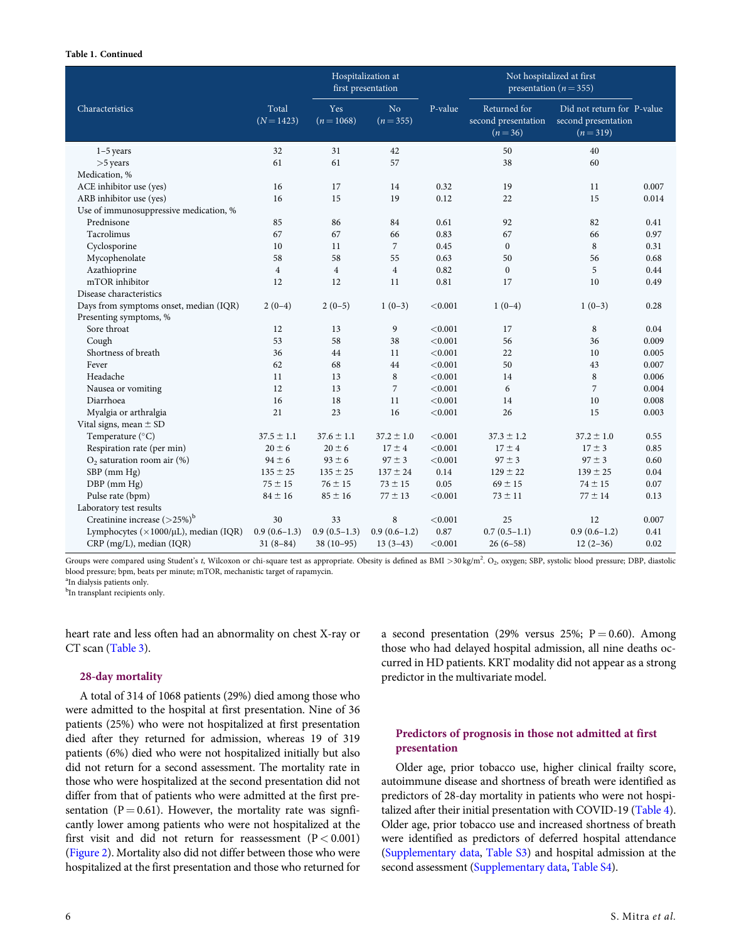### Table 1. Continued

|                                        |                     | Hospitalization at<br>first presentation |                 |         | Not hospitalized at first<br>presentation ( $n = 355$ ) |                                                                |       |
|----------------------------------------|---------------------|------------------------------------------|-----------------|---------|---------------------------------------------------------|----------------------------------------------------------------|-------|
| Characteristics                        | Total<br>$(N=1423)$ | Yes<br>$(n=1068)$                        | No<br>$(n=355)$ | P-value | Returned for<br>second presentation<br>$(n=36)$         | Did not return for P-value<br>second presentation<br>$(n=319)$ |       |
| $1-5$ years                            | 32                  | 31                                       | 42              |         | 50                                                      | 40                                                             |       |
| $>5$ years                             | 61                  | 61                                       | 57              |         | 38                                                      | 60                                                             |       |
| Medication, %                          |                     |                                          |                 |         |                                                         |                                                                |       |
| ACE inhibitor use (yes)                | 16                  | 17                                       | 14              | 0.32    | 19                                                      | 11                                                             | 0.007 |
| ARB inhibitor use (yes)                | 16                  | 15                                       | 19              | 0.12    | 22                                                      | 15                                                             | 0.014 |
| Use of immunosuppressive medication, % |                     |                                          |                 |         |                                                         |                                                                |       |
| Prednisone                             | 85                  | 86                                       | 84              | 0.61    | 92                                                      | 82                                                             | 0.41  |
| Tacrolimus                             | 67                  | 67                                       | 66              | 0.83    | 67                                                      | 66                                                             | 0.97  |
| Cyclosporine                           | 10                  | 11                                       | $\overline{7}$  | 0.45    | $\boldsymbol{0}$                                        | 8                                                              | 0.31  |
| Mycophenolate                          | 58                  | 58                                       | 55              | 0.63    | 50                                                      | 56                                                             | 0.68  |
| Azathioprine                           | $\overline{4}$      | $\overline{4}$                           | $\overline{4}$  | 0.82    | $\boldsymbol{0}$                                        | 5                                                              | 0.44  |
| mTOR inhibitor                         | 12                  | 12                                       | 11              | 0.81    | 17                                                      | 10                                                             | 0.49  |
| Disease characteristics                |                     |                                          |                 |         |                                                         |                                                                |       |
| Days from symptoms onset, median (IQR) | $2(0-4)$            | $2(0-5)$                                 | $1(0-3)$        | < 0.001 | $1(0-4)$                                                | $1(0-3)$                                                       | 0.28  |
| Presenting symptoms, %                 |                     |                                          |                 |         |                                                         |                                                                |       |
| Sore throat                            | 12                  | 13                                       | 9               | < 0.001 | 17                                                      | 8                                                              | 0.04  |
| Cough                                  | 53                  | 58                                       | 38              | < 0.001 | 56                                                      | 36                                                             | 0.009 |
| Shortness of breath                    | 36                  | 44                                       | 11              | < 0.001 | 22                                                      | 10                                                             | 0.005 |
| Fever                                  | 62                  | 68                                       | 44              | < 0.001 | 50                                                      | 43                                                             | 0.007 |
| Headache                               | 11                  | 13                                       | $\,8\,$         | < 0.001 | 14                                                      | $\,8\,$                                                        | 0.006 |
| Nausea or vomiting                     | 12                  | 13                                       | $\overline{7}$  | < 0.001 | 6                                                       | $\overline{7}$                                                 | 0.004 |
| Diarrhoea                              | 16                  | 18                                       | 11              | < 0.001 | 14                                                      | 10                                                             | 0.008 |
| Myalgia or arthralgia                  | 21                  | 23                                       | 16              | < 0.001 | 26                                                      | 15                                                             | 0.003 |
| Vital signs, mean $\pm$ SD             |                     |                                          |                 |         |                                                         |                                                                |       |
| Temperature (°C)                       | $37.5 \pm 1.1$      | $37.6 \pm 1.1$                           | $37.2 \pm 1.0$  | < 0.001 | $37.3 \pm 1.2$                                          | $37.2 \pm 1.0$                                                 | 0.55  |
| Respiration rate (per min)             | $20 \pm 6$          | $20 \pm 6$                               | $17 \pm 4$      | < 0.001 | $17 \pm 4$                                              | $17 \pm 3$                                                     | 0.85  |
| $O2$ saturation room air (%)           | $94 \pm 6$          | $93 \pm 6$                               | $97 \pm 3$      | < 0.001 | $97 \pm 3$                                              | $97 \pm 3$                                                     | 0.60  |
| SBP (mm Hg)                            | $135 \pm 25$        | $135 \pm 25$                             | $137 \pm 24$    | 0.14    | $129 \pm 22$                                            | $139 \pm 25$                                                   | 0.04  |
| DBP (mm Hg)                            | $75 \pm 15$         | $76 \pm 15$                              | $73 \pm 15$     | 0.05    | $69 \pm 15$                                             | $74 \pm 15$                                                    | 0.07  |
| Pulse rate (bpm)                       | $84 \pm 16$         | $85 \pm 16$                              | $77 \pm 13$     | < 0.001 | $73 \pm 11$                                             | $77 \pm 14$                                                    | 0.13  |
| Laboratory test results                |                     |                                          |                 |         |                                                         |                                                                |       |
| Creatinine increase $(>25%)^b$         | 30                  | 33                                       | 8               | < 0.001 | 25                                                      | 12                                                             | 0.007 |
| Lymphocytes (×1000/µL), median (IQR)   | $0.9(0.6-1.3)$      | $0.9(0.5-1.3)$                           | $0.9(0.6-1.2)$  | 0.87    | $0.7(0.5-1.1)$                                          | $0.9(0.6-1.2)$                                                 | 0.41  |
| CRP (mg/L), median (IQR)               | $31(8-84)$          | $38(10-95)$                              | $13(3-43)$      | < 0.001 | $26(6-58)$                                              | $12(2-36)$                                                     | 0.02  |

Groups were compared using Student's t, Wilcoxon or chi-square test as appropriate. Obesity is defined as BMI >30 kg/m<sup>2</sup>. O<sub>2</sub>, oxygen; SBP, systolic blood pressure; DBP, diastolic blood pressure; bpm, beats per minute; mTOR, mechanistic target of rapamycin.

a In dialysis patients only.

<sup>b</sup>In transplant recipients only.

heart rate and less often had an abnormality on chest X-ray or CT scan [\(Table 3](#page-7-0)).

#### 28-day mortality

A total of 314 of 1068 patients (29%) died among those who were admitted to the hospital at first presentation. Nine of 36 patients (25%) who were not hospitalized at first presentation died after they returned for admission, whereas 19 of 319 patients (6%) died who were not hospitalized initially but also did not return for a second assessment. The mortality rate in those who were hospitalized at the second presentation did not differ from that of patients who were admitted at the first presentation ( $P = 0.61$ ). However, the mortality rate was signficantly lower among patients who were not hospitalized at the first visit and did not return for reassessment  $(P < 0.001)$ [\(Figure 2](#page-8-0)). Mortality also did not differ between those who were hospitalized at the first presentation and those who returned for

a second presentation (29% versus 25%;  $P = 0.60$ ). Among those who had delayed hospital admission, all nine deaths occurred in HD patients. KRT modality did not appear as a strong predictor in the multivariate model.

# Predictors of prognosis in those not admitted at first presentation

Older age, prior tobacco use, higher clinical frailty score, autoimmune disease and shortness of breath were identified as predictors of 28-day mortality in patients who were not hospitalized after their initial presentation with COVID-19 ([Table 4](#page-9-0)). Older age, prior tobacco use and increased shortness of breath were identified as predictors of deferred hospital attendance ([Supplementary data](https://academic.oup.com/ndt/article-lookup/doi/10.1093/ndt/gfab196#supplementary-data), [Table S3\)](https://academic.oup.com/ndt/article-lookup/doi/10.1093/ndt/gfab196#supplementary-data) and hospital admission at the second assessment [\(Supplementary data](https://academic.oup.com/ndt/article-lookup/doi/10.1093/ndt/gfab196#supplementary-data), [Table S4\)](https://academic.oup.com/ndt/article-lookup/doi/10.1093/ndt/gfab196#supplementary-data).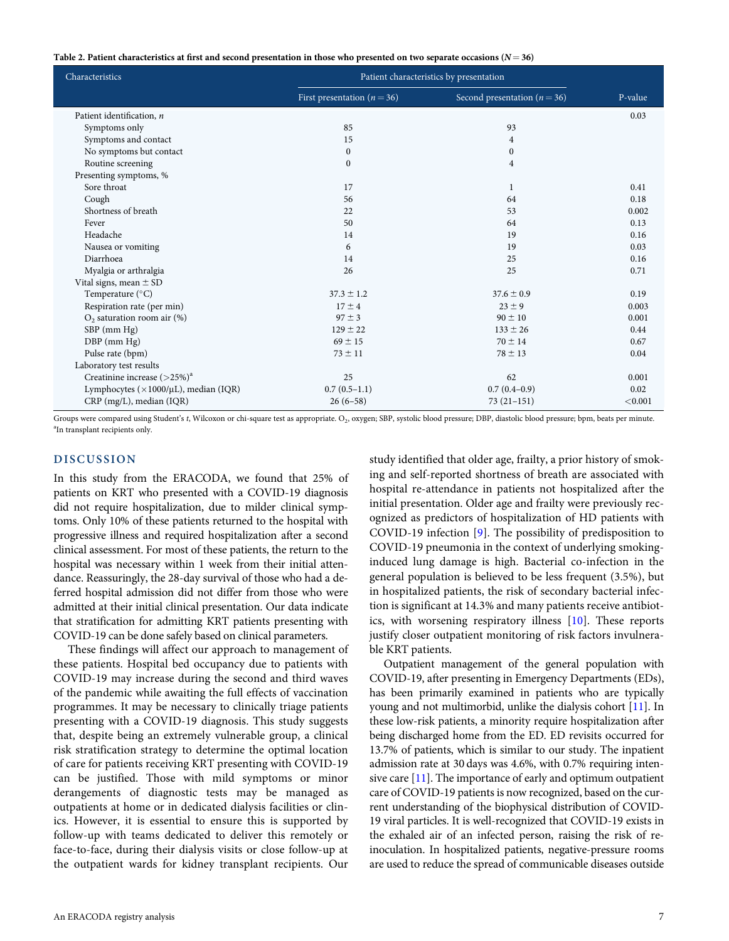<span id="page-6-0"></span>Table 2. Patient characteristics at first and second presentation in those who presented on two separate occasions  $(N=36)$ 

| Characteristics                                     | Patient characteristics by presentation |                                  |         |
|-----------------------------------------------------|-----------------------------------------|----------------------------------|---------|
|                                                     | First presentation ( $n = 36$ )         | Second presentation ( $n = 36$ ) | P-value |
| Patient identification, n                           |                                         |                                  | 0.03    |
| Symptoms only                                       | 85                                      | 93                               |         |
| Symptoms and contact                                | 15                                      | $\overline{4}$                   |         |
| No symptoms but contact                             | $\boldsymbol{0}$                        | $\boldsymbol{0}$                 |         |
| Routine screening                                   | $\mathbf{0}$                            | $\overline{4}$                   |         |
| Presenting symptoms, %                              |                                         |                                  |         |
| Sore throat                                         | 17                                      | 1                                | 0.41    |
| Cough                                               | 56                                      | 64                               | 0.18    |
| Shortness of breath                                 | 22                                      | 53                               | 0.002   |
| Fever                                               | 50                                      | 64                               | 0.13    |
| Headache                                            | 14                                      | 19                               | 0.16    |
| Nausea or vomiting                                  | 6                                       | 19                               | 0.03    |
| Diarrhoea                                           | 14                                      | 25                               | 0.16    |
| Myalgia or arthralgia                               | 26                                      | 25                               | 0.71    |
| Vital signs, mean $\pm$ SD                          |                                         |                                  |         |
| Temperature $(^{\circ}C)$                           | $37.3 \pm 1.2$                          | $37.6 \pm 0.9$                   | 0.19    |
| Respiration rate (per min)                          | $17 \pm 4$                              | $23 \pm 9$                       | 0.003   |
| $O_2$ saturation room air $(\%)$                    | $97 \pm 3$                              | $90 \pm 10$                      | 0.001   |
| SBP (mm Hg)                                         | $129 \pm 22$                            | $133 \pm 26$                     | 0.44    |
| $DBP$ (mm $Hg$ )                                    | $69 \pm 15$                             | $70 \pm 14$                      | 0.67    |
| Pulse rate (bpm)                                    | $73 \pm 11$                             | $78 \pm 13$                      | 0.04    |
| Laboratory test results                             |                                         |                                  |         |
| Creatinine increase $(>25%)^a$                      | 25                                      | 62                               | 0.001   |
| Lymphocytes ( $\times$ 1000/ $\mu$ L), median (IQR) | $0.7(0.5-1.1)$                          | $0.7(0.4-0.9)$                   | 0.02    |
| CRP (mg/L), median (IQR)                            | $26(6-58)$                              | $73(21-151)$                     | < 0.001 |

Groups were compared using Student's t, Wilcoxon or chi-square test as appropriate. O<sub>2</sub>, oxygen; SBP, systolic blood pressure; DBP, diastolic blood pressure; bpm, beats per minute. <sup>a</sup>In transplant recipients only.

## DISCUSSION

In this study from the ERACODA, we found that 25% of patients on KRT who presented with a COVID-19 diagnosis did not require hospitalization, due to milder clinical symptoms. Only 10% of these patients returned to the hospital with progressive illness and required hospitalization after a second clinical assessment. For most of these patients, the return to the hospital was necessary within 1 week from their initial attendance. Reassuringly, the 28-day survival of those who had a deferred hospital admission did not differ from those who were admitted at their initial clinical presentation. Our data indicate that stratification for admitting KRT patients presenting with COVID-19 can be done safely based on clinical parameters.

These findings will affect our approach to management of these patients. Hospital bed occupancy due to patients with COVID-19 may increase during the second and third waves of the pandemic while awaiting the full effects of vaccination programmes. It may be necessary to clinically triage patients presenting with a COVID-19 diagnosis. This study suggests that, despite being an extremely vulnerable group, a clinical risk stratification strategy to determine the optimal location of care for patients receiving KRT presenting with COVID-19 can be justified. Those with mild symptoms or minor derangements of diagnostic tests may be managed as outpatients at home or in dedicated dialysis facilities or clinics. However, it is essential to ensure this is supported by follow-up with teams dedicated to deliver this remotely or face-to-face, during their dialysis visits or close follow-up at the outpatient wards for kidney transplant recipients. Our study identified that older age, frailty, a prior history of smoking and self-reported shortness of breath are associated with hospital re-attendance in patients not hospitalized after the initial presentation. Older age and frailty were previously recognized as predictors of hospitalization of HD patients with COVID-19 infection [\[9\]](#page-12-0). The possibility of predisposition to COVID-19 pneumonia in the context of underlying smokinginduced lung damage is high. Bacterial co-infection in the general population is believed to be less frequent (3.5%), but in hospitalized patients, the risk of secondary bacterial infection is significant at 14.3% and many patients receive antibiotics, with worsening respiratory illness [\[10\]](#page-12-0). These reports justify closer outpatient monitoring of risk factors invulnerable KRT patients.

Outpatient management of the general population with COVID-19, after presenting in Emergency Departments (EDs), has been primarily examined in patients who are typically young and not multimorbid, unlike the dialysis cohort [[11](#page-12-0)]. In these low-risk patients, a minority require hospitalization after being discharged home from the ED. ED revisits occurred for 13.7% of patients, which is similar to our study. The inpatient admission rate at 30 days was 4.6%, with 0.7% requiring intensive care [[11](#page-12-0)]. The importance of early and optimum outpatient care of COVID-19 patients is now recognized, based on the current understanding of the biophysical distribution of COVID-19 viral particles. It is well-recognized that COVID-19 exists in the exhaled air of an infected person, raising the risk of reinoculation. In hospitalized patients, negative-pressure rooms are used to reduce the spread of communicable diseases outside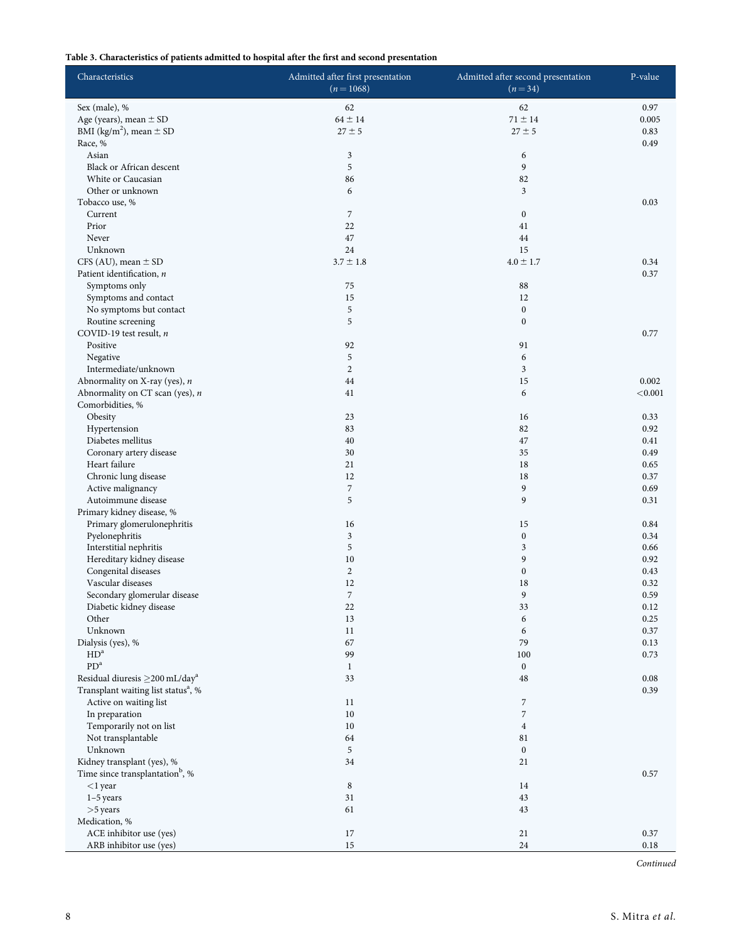## <span id="page-7-0"></span>Table 3. Characteristics of patients admitted to hospital after the first and second presentation

| Characteristics                                     | Admitted after first presentation<br>$(n=1068)$ | Admitted after second presentation<br>$(n=34)$ | P-value          |
|-----------------------------------------------------|-------------------------------------------------|------------------------------------------------|------------------|
| Sex (male), %                                       | 62                                              | 62                                             | 0.97             |
| Age (years), mean $\pm$ SD                          | $64 \pm 14$                                     | $71 \pm 14$                                    | 0.005            |
| BMI (kg/m <sup>2</sup> ), mean $\pm$ SD             | $27 \pm 5$                                      | $27 \pm 5$                                     | 0.83             |
| Race, %                                             |                                                 |                                                | 0.49             |
| Asian                                               | 3                                               | 6                                              |                  |
| Black or African descent                            | 5                                               | 9                                              |                  |
| White or Caucasian                                  | 86                                              | 82                                             |                  |
| Other or unknown                                    | 6                                               | $\mathfrak{Z}$                                 |                  |
| Tobacco use, %                                      |                                                 |                                                | 0.03             |
| Current                                             | 7                                               | $\boldsymbol{0}$                               |                  |
| Prior                                               | 22                                              | 41                                             |                  |
| Never                                               | 47                                              | 44                                             |                  |
| Unknown                                             | 24                                              | 15                                             |                  |
| CFS (AU), mean $\pm$ SD                             | $3.7 \pm 1.8$                                   | $4.0 \pm 1.7$                                  | 0.34             |
| Patient identification, $n$                         |                                                 |                                                | 0.37             |
| Symptoms only                                       | 75                                              | 88                                             |                  |
| Symptoms and contact                                | 15                                              | 12                                             |                  |
| No symptoms but contact                             | 5                                               | $\boldsymbol{0}$                               |                  |
| Routine screening                                   | 5                                               | $\boldsymbol{0}$                               |                  |
| COVID-19 test result, $n$                           |                                                 |                                                | 0.77             |
| Positive                                            | 92                                              | 91                                             |                  |
| Negative                                            | 5                                               | 6                                              |                  |
| Intermediate/unknown                                | $\overline{c}$                                  | $\mathfrak{Z}$                                 | 0.002            |
| Abnormality on X-ray (yes), $n$                     | 44                                              | 15                                             |                  |
| Abnormality on CT scan (yes), n<br>Comorbidities, % | 41                                              | 6                                              | < 0.001          |
|                                                     | 23                                              | 16                                             | 0.33             |
| Obesity<br>Hypertension                             | 83                                              | 82                                             | 0.92             |
| Diabetes mellitus                                   | 40                                              | 47                                             | 0.41             |
| Coronary artery disease                             | 30                                              | 35                                             | 0.49             |
| Heart failure                                       | 21                                              | 18                                             | 0.65             |
| Chronic lung disease                                | 12                                              | 18                                             | 0.37             |
| Active malignancy                                   | $\sqrt{2}$                                      | 9                                              | 0.69             |
| Autoimmune disease                                  | 5                                               | 9                                              | 0.31             |
| Primary kidney disease, %                           |                                                 |                                                |                  |
| Primary glomerulonephritis                          | 16                                              | 15                                             | 0.84             |
| Pyelonephritis                                      | 3                                               | $\boldsymbol{0}$                               | 0.34             |
| Interstitial nephritis                              | 5                                               | 3                                              | 0.66             |
| Hereditary kidney disease                           | 10                                              | 9                                              | 0.92             |
| Congenital diseases                                 | $\overline{2}$                                  | $\boldsymbol{0}$                               | 0.43             |
| Vascular diseases                                   | 12                                              | 18                                             | 0.32             |
| Secondary glomerular disease                        | 7                                               | 9                                              | 0.59             |
| Diabetic kidney disease                             | 22                                              | 33                                             | 0.12             |
| Other                                               | 13                                              | 6                                              | 0.25             |
| Unknown                                             | 11                                              | 6                                              | 0.37             |
| Dialysis (yes), %                                   | 67                                              | 79                                             | 0.13             |
| HD <sup>a</sup>                                     | 99                                              | 100                                            | 0.73             |
| PD <sup>a</sup>                                     | $\mathbf{1}$                                    | $\mathbf{0}$                                   |                  |
| Residual diuresis $\geq$ 200 mL/day <sup>a</sup>    | 33                                              | 48                                             | 0.08             |
| Transplant waiting list status <sup>a</sup> , %     |                                                 |                                                | 0.39             |
| Active on waiting list                              | 11                                              | $\boldsymbol{7}$                               |                  |
| In preparation                                      | 10                                              | $\sqrt{2}$                                     |                  |
| Temporarily not on list                             | 10                                              | $\overline{4}$                                 |                  |
| Not transplantable                                  | 64                                              | 81                                             |                  |
| Unknown                                             | 5                                               | $\boldsymbol{0}$                               |                  |
| Kidney transplant (yes), %                          | 34                                              | 21                                             |                  |
| Time since transplantation <sup>b</sup> , %         |                                                 |                                                | 0.57             |
| $<$ 1 year                                          | $\,$ 8 $\,$                                     | 14                                             |                  |
| 1-5 years                                           | 31                                              | 43                                             |                  |
| $>5$ years                                          | 61                                              | 43                                             |                  |
| Medication, %                                       |                                                 |                                                |                  |
| ACE inhibitor use (yes)<br>ARB inhibitor use (yes)  | 17<br>$15\,$                                    | 21<br>24                                       | 0.37<br>$0.18\,$ |
|                                                     |                                                 |                                                |                  |

Continued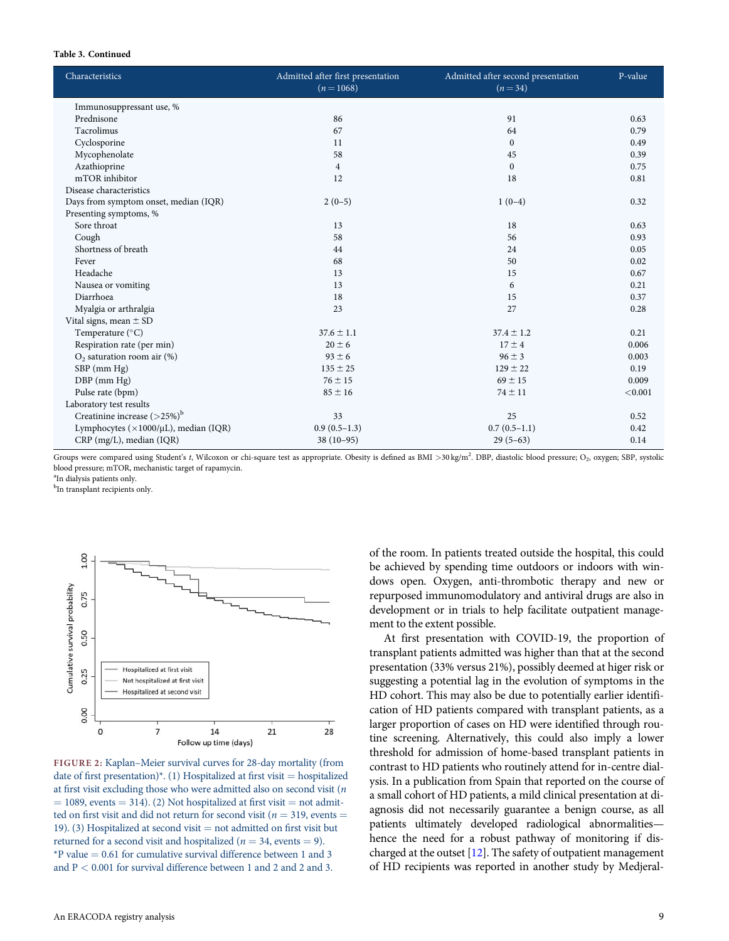#### <span id="page-8-0"></span>Table 3. Continued

| Characteristics                                     | Admitted after first presentation<br>$(n=1068)$ | Admitted after second presentation<br>$(n=34)$ | P-value |
|-----------------------------------------------------|-------------------------------------------------|------------------------------------------------|---------|
| Immunosuppressant use, %                            |                                                 |                                                |         |
| Prednisone                                          | 86                                              | 91                                             | 0.63    |
| Tacrolimus                                          | 67                                              | 64                                             | 0.79    |
| Cyclosporine                                        | 11                                              | $\mathbf{0}$                                   | 0.49    |
| Mycophenolate                                       | 58                                              | 45                                             | 0.39    |
| Azathioprine                                        | $\overline{4}$                                  | $\boldsymbol{0}$                               | 0.75    |
| mTOR inhibitor                                      | 12                                              | 18                                             | 0.81    |
| Disease characteristics                             |                                                 |                                                |         |
| Days from symptom onset, median (IQR)               | $2(0-5)$                                        | $1(0-4)$                                       | 0.32    |
| Presenting symptoms, %                              |                                                 |                                                |         |
| Sore throat                                         | 13                                              | 18                                             | 0.63    |
| Cough                                               | 58                                              | 56                                             | 0.93    |
| Shortness of breath                                 | 44                                              | 24                                             | 0.05    |
| Fever                                               | 68                                              | 50                                             | 0.02    |
| Headache                                            | 13                                              | 15                                             | 0.67    |
| Nausea or vomiting                                  | 13                                              | 6                                              | 0.21    |
| Diarrhoea                                           | 18                                              | 15                                             | 0.37    |
| Myalgia or arthralgia                               | 23                                              | 27                                             | 0.28    |
| Vital signs, mean $\pm$ SD                          |                                                 |                                                |         |
| Temperature (°C)                                    | $37.6 \pm 1.1$                                  | $37.4 \pm 1.2$                                 | 0.21    |
| Respiration rate (per min)                          | $20 \pm 6$                                      | $17 \pm 4$                                     | 0.006   |
| $O2$ saturation room air (%)                        | $93 \pm 6$                                      | $96 \pm 3$                                     | 0.003   |
| SBP (mm Hg)                                         | $135 \pm 25$                                    | $129 \pm 22$                                   | 0.19    |
| $DBP$ (mm $Hg$ )                                    | $76 \pm 15$                                     | $69 \pm 15$                                    | 0.009   |
| Pulse rate (bpm)                                    | $85 \pm 16$                                     | $74 \pm 11$                                    | < 0.001 |
| Laboratory test results                             |                                                 |                                                |         |
| Creatinine increase $(>25%)^b$                      | 33                                              | 25                                             | 0.52    |
| Lymphocytes ( $\times$ 1000/ $\mu$ L), median (IQR) | $0.9(0.5-1.3)$                                  | $0.7(0.5-1.1)$                                 | 0.42    |
| CRP (mg/L), median (IQR)                            | $38(10-95)$                                     | $29(5-63)$                                     | 0.14    |

Groups were compared using Student's t, Wilcoxon or chi-square test as appropriate. Obesity is defined as BMI >30 kg/m<sup>2</sup>. DBP, diastolic blood pressure; O<sub>2</sub>, oxygen; SBP, systolic blood pressure; mTOR, mechanistic target of rapamycin.

a In dialysis patients only.

<sup>b</sup>In transplant recipients only.



FIGURE 2: Kaplan–Meier survival curves for 28-day mortality (from date of first presentation)\*. (1) Hospitalized at first visit = hospitalized at first visit excluding those who were admitted also on second visit (n  $=$  1089, events  $=$  314). (2) Not hospitalized at first visit  $=$  not admitted on first visit and did not return for second visit ( $n = 319$ , events = 19). (3) Hospitalized at second visit  $=$  not admitted on first visit but returned for a second visit and hospitalized ( $n = 34$ , events = 9).  $*P$  value  $= 0.61$  for cumulative survival difference between 1 and 3 and P < 0.001 for survival difference between 1 and 2 and 2 and 3.

of the room. In patients treated outside the hospital, this could be achieved by spending time outdoors or indoors with windows open. Oxygen, anti-thrombotic therapy and new or repurposed immunomodulatory and antiviral drugs are also in development or in trials to help facilitate outpatient management to the extent possible.

At first presentation with COVID-19, the proportion of transplant patients admitted was higher than that at the second presentation (33% versus 21%), possibly deemed at higer risk or suggesting a potential lag in the evolution of symptoms in the HD cohort. This may also be due to potentially earlier identification of HD patients compared with transplant patients, as a larger proportion of cases on HD were identified through routine screening. Alternatively, this could also imply a lower threshold for admission of home-based transplant patients in contrast to HD patients who routinely attend for in-centre dialysis. In a publication from Spain that reported on the course of a small cohort of HD patients, a mild clinical presentation at diagnosis did not necessarily guarantee a benign course, as all patients ultimately developed radiological abnormalities hence the need for a robust pathway of monitoring if discharged at the outset [\[12\]](#page-12-0). The safety of outpatient management of HD recipients was reported in another study by Medjeral-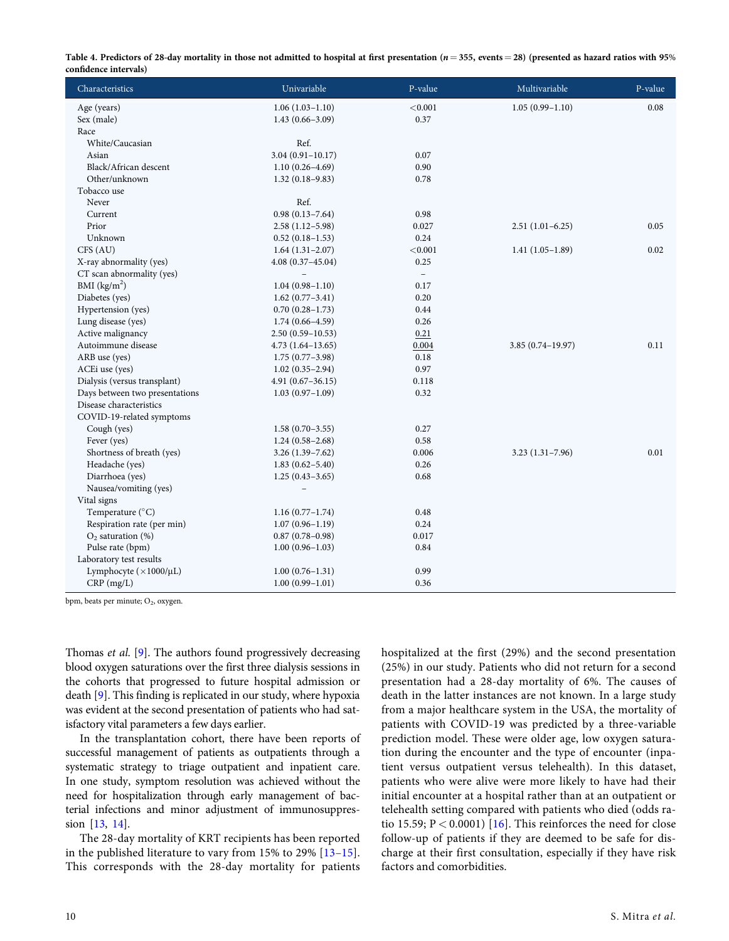<span id="page-9-0"></span>

| Table 4. Predictors of 28-day mortality in those not admitted to hospital at first presentation ( $n = 355$ , events = 28) (presented as hazard ratios with 95% |  |
|-----------------------------------------------------------------------------------------------------------------------------------------------------------------|--|
| confidence intervals)                                                                                                                                           |  |

| Characteristics                  | Univariable              | P-value                  | Multivariable        | P-value |
|----------------------------------|--------------------------|--------------------------|----------------------|---------|
| Age (years)                      | $1.06(1.03-1.10)$        | < 0.001                  | $1.05(0.99 - 1.10)$  | 0.08    |
| Sex (male)                       | $1.43(0.66 - 3.09)$      | 0.37                     |                      |         |
| Race                             |                          |                          |                      |         |
| White/Caucasian                  | Ref.                     |                          |                      |         |
| Asian                            | $3.04(0.91 - 10.17)$     | 0.07                     |                      |         |
| Black/African descent            | $1.10(0.26 - 4.69)$      | 0.90                     |                      |         |
| Other/unknown                    | $1.32(0.18 - 9.83)$      | 0.78                     |                      |         |
| Tobacco use                      |                          |                          |                      |         |
| Never                            | Ref.                     |                          |                      |         |
| Current                          | $0.98(0.13 - 7.64)$      | 0.98                     |                      |         |
| Prior                            | $2.58(1.12 - 5.98)$      | 0.027                    | $2.51(1.01-6.25)$    | 0.05    |
| Unknown                          | $0.52(0.18-1.53)$        | 0.24                     |                      |         |
| CFS (AU)                         | $1.64(1.31-2.07)$        | < 0.001                  | $1.41(1.05-1.89)$    | 0.02    |
| X-ray abnormality (yes)          | $4.08(0.37 - 45.04)$     | 0.25                     |                      |         |
| CT scan abnormality (yes)        | $\qquad \qquad -$        | $\overline{\phantom{a}}$ |                      |         |
| BMI $(kg/m2)$                    | $1.04(0.98 - 1.10)$      | 0.17                     |                      |         |
| Diabetes (yes)                   | $1.62(0.77-3.41)$        | 0.20                     |                      |         |
| Hypertension (yes)               | $0.70(0.28 - 1.73)$      | 0.44                     |                      |         |
| Lung disease (yes)               | $1.74(0.66 - 4.59)$      | 0.26                     |                      |         |
| Active malignancy                | $2.50(0.59 - 10.53)$     | 0.21                     |                      |         |
| Autoimmune disease               | $4.73(1.64-13.65)$       | 0.004                    | $3.85(0.74 - 19.97)$ | 0.11    |
| ARB use (yes)                    | $1.75(0.77-3.98)$        | 0.18                     |                      |         |
| ACEi use (yes)                   | $1.02(0.35-2.94)$        | 0.97                     |                      |         |
| Dialysis (versus transplant)     | $4.91(0.67 - 36.15)$     | 0.118                    |                      |         |
| Days between two presentations   | $1.03(0.97-1.09)$        | 0.32                     |                      |         |
| Disease characteristics          |                          |                          |                      |         |
| COVID-19-related symptoms        |                          |                          |                      |         |
| Cough (yes)                      | $1.58(0.70-3.55)$        | 0.27                     |                      |         |
| Fever (yes)                      | $1.24(0.58-2.68)$        | 0.58                     |                      |         |
| Shortness of breath (yes)        | $3.26(1.39 - 7.62)$      | 0.006                    | $3.23(1.31 - 7.96)$  | 0.01    |
| Headache (yes)                   | $1.83(0.62 - 5.40)$      | 0.26                     |                      |         |
| Diarrhoea (yes)                  | $1.25(0.43 - 3.65)$      | 0.68                     |                      |         |
| Nausea/vomiting (yes)            | $\overline{\phantom{0}}$ |                          |                      |         |
| Vital signs                      |                          |                          |                      |         |
| Temperature (°C)                 | $1.16(0.77-1.74)$        | 0.48                     |                      |         |
| Respiration rate (per min)       | $1.07(0.96 - 1.19)$      | 0.24                     |                      |         |
| $O2$ saturation (%)              | $0.87(0.78 - 0.98)$      | 0.017                    |                      |         |
| Pulse rate (bpm)                 | $1.00(0.96 - 1.03)$      | 0.84                     |                      |         |
| Laboratory test results          |                          |                          |                      |         |
| Lymphocyte $(\times 1000/\mu L)$ | $1.00(0.76 - 1.31)$      | 0.99                     |                      |         |
| $CRP$ (mg/L)                     | $1.00(0.99 - 1.01)$      | 0.36                     |                      |         |

bpm, beats per minute; O2, oxygen.

Thomas et al. [\[9\]](#page-12-0). The authors found progressively decreasing blood oxygen saturations over the first three dialysis sessions in the cohorts that progressed to future hospital admission or death [\[9](#page-12-0)]. This finding is replicated in our study, where hypoxia was evident at the second presentation of patients who had satisfactory vital parameters a few days earlier.

In the transplantation cohort, there have been reports of successful management of patients as outpatients through a systematic strategy to triage outpatient and inpatient care. In one study, symptom resolution was achieved without the need for hospitalization through early management of bacterial infections and minor adjustment of immunosuppression [[13](#page-12-0), [14\]](#page-12-0).

The 28-day mortality of KRT recipients has been reported in the published literature to vary from 15% to 29% [[13–15\]](#page-12-0). This corresponds with the 28-day mortality for patients hospitalized at the first (29%) and the second presentation (25%) in our study. Patients who did not return for a second presentation had a 28-day mortality of 6%. The causes of death in the latter instances are not known. In a large study from a major healthcare system in the USA, the mortality of patients with COVID-19 was predicted by a three-variable prediction model. These were older age, low oxygen saturation during the encounter and the type of encounter (inpatient versus outpatient versus telehealth). In this dataset, patients who were alive were more likely to have had their initial encounter at a hospital rather than at an outpatient or telehealth setting compared with patients who died (odds ratio 15.59;  $P < 0.0001$ ) [[16\]](#page-12-0). This reinforces the need for close follow-up of patients if they are deemed to be safe for discharge at their first consultation, especially if they have risk factors and comorbidities.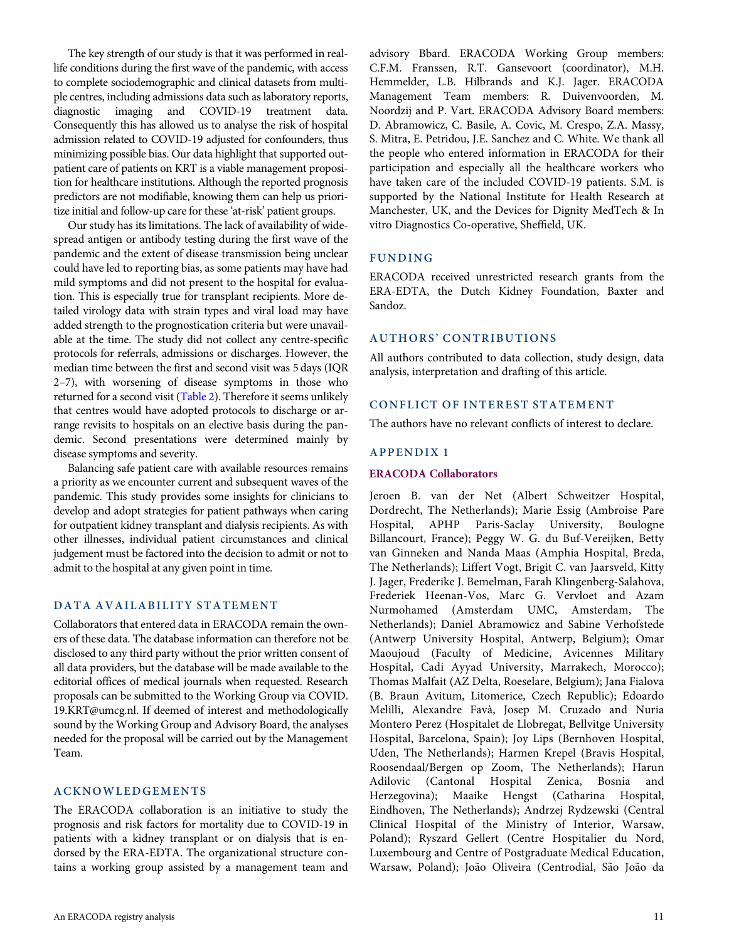The key strength of our study is that it was performed in reallife conditions during the first wave of the pandemic, with access to complete sociodemographic and clinical datasets from multiple centres, including admissions data such as laboratory reports, diagnostic imaging and COVID-19 treatment data. Consequently this has allowed us to analyse the risk of hospital admission related to COVID-19 adjusted for confounders, thus minimizing possible bias. Our data highlight that supported outpatient care of patients on KRT is a viable management proposition for healthcare institutions. Although the reported prognosis predictors are not modifiable, knowing them can help us prioritize initial and follow-up care for these 'at-risk' patient groups.

Our study has its limitations. The lack of availability of widespread antigen or antibody testing during the first wave of the pandemic and the extent of disease transmission being unclear could have led to reporting bias, as some patients may have had mild symptoms and did not present to the hospital for evaluation. This is especially true for transplant recipients. More detailed virology data with strain types and viral load may have added strength to the prognostication criteria but were unavailable at the time. The study did not collect any centre-specific protocols for referrals, admissions or discharges. However, the median time between the first and second visit was 5 days (IQR 2–7), with worsening of disease symptoms in those who returned for a second visit [\(Table 2](#page-6-0)). Therefore it seems unlikely that centres would have adopted protocols to discharge or arrange revisits to hospitals on an elective basis during the pandemic. Second presentations were determined mainly by disease symptoms and severity.

Balancing safe patient care with available resources remains a priority as we encounter current and subsequent waves of the pandemic. This study provides some insights for clinicians to develop and adopt strategies for patient pathways when caring for outpatient kidney transplant and dialysis recipients. As with other illnesses, individual patient circumstances and clinical judgement must be factored into the decision to admit or not to admit to the hospital at any given point in time.

## DATA AVAILABILITY STATEMENT

Collaborators that entered data in ERACODA remain the owners of these data. The database information can therefore not be disclosed to any third party without the prior written consent of all data providers, but the database will be made available to the editorial offices of medical journals when requested. Research proposals can be submitted to the Working Group via COVID. 19.KRT@umcg.nl. If deemed of interest and methodologically sound by the Working Group and Advisory Board, the analyses needed for the proposal will be carried out by the Management Team.

# ACKNOWLEDGEMENTS

The ERACODA collaboration is an initiative to study the prognosis and risk factors for mortality due to COVID-19 in patients with a kidney transplant or on dialysis that is endorsed by the ERA-EDTA. The organizational structure contains a working group assisted by a management team and advisory Bbard. ERACODA Working Group members: C.F.M. Franssen, R.T. Gansevoort (coordinator), M.H. Hemmelder, L.B. Hilbrands and K.J. Jager. ERACODA Management Team members: R. Duivenvoorden, M. Noordzij and P. Vart. ERACODA Advisory Board members: D. Abramowicz, C. Basile, A. Covic, M. Crespo, Z.A. Massy, S. Mitra, E. Petridou, J.E. Sanchez and C. White. We thank all the people who entered information in ERACODA for their participation and especially all the healthcare workers who have taken care of the included COVID-19 patients. S.M. is supported by the National Institute for Health Research at Manchester, UK, and the Devices for Dignity MedTech & In vitro Diagnostics Co-operative, Sheffield, UK.

# FUNDING

ERACODA received unrestricted research grants from the ERA-EDTA, the Dutch Kidney Foundation, Baxter and Sandoz.

# AUTHORS' CONTRIBUTIONS

All authors contributed to data collection, study design, data analysis, interpretation and drafting of this article.

# CONFLICT OF INTEREST STATEMENT

The authors have no relevant conflicts of interest to declare.

#### APPENDIX 1

#### ERACODA Collaborators

Jeroen B. van der Net (Albert Schweitzer Hospital, Dordrecht, The Netherlands); Marie Essig (Ambroise Pare Hospital, APHP Paris-Saclay University, Boulogne Billancourt, France); Peggy W. G. du Buf-Vereijken, Betty van Ginneken and Nanda Maas (Amphia Hospital, Breda, The Netherlands); Liffert Vogt, Brigit C. van Jaarsveld, Kitty J. Jager, Frederike J. Bemelman, Farah Klingenberg-Salahova, Frederiek Heenan-Vos, Marc G. Vervloet and Azam Nurmohamed (Amsterdam UMC, Amsterdam, The Netherlands); Daniel Abramowicz and Sabine Verhofstede (Antwerp University Hospital, Antwerp, Belgium); Omar Maoujoud (Faculty of Medicine, Avicennes Military Hospital, Cadi Ayyad University, Marrakech, Morocco); Thomas Malfait (AZ Delta, Roeselare, Belgium); Jana Fialova (B. Braun Avitum, Litomerice, Czech Republic); Edoardo Melilli, Alexandre Favà, Josep M. Cruzado and Nuria Montero Perez (Hospitalet de Llobregat, Bellvitge University Hospital, Barcelona, Spain); Joy Lips (Bernhoven Hospital, Uden, The Netherlands); Harmen Krepel (Bravis Hospital, Roosendaal/Bergen op Zoom, The Netherlands); Harun Adilovic (Cantonal Hospital Zenica, Bosnia and Herzegovina); Maaike Hengst (Catharina Hospital, Eindhoven, The Netherlands); Andrzej Rydzewski (Central Clinical Hospital of the Ministry of Interior, Warsaw, Poland); Ryszard Gellert (Centre Hospitalier du Nord, Luxembourg and Centre of Postgraduate Medical Education, Warsaw, Poland); João Oliveira (Centrodial, São João da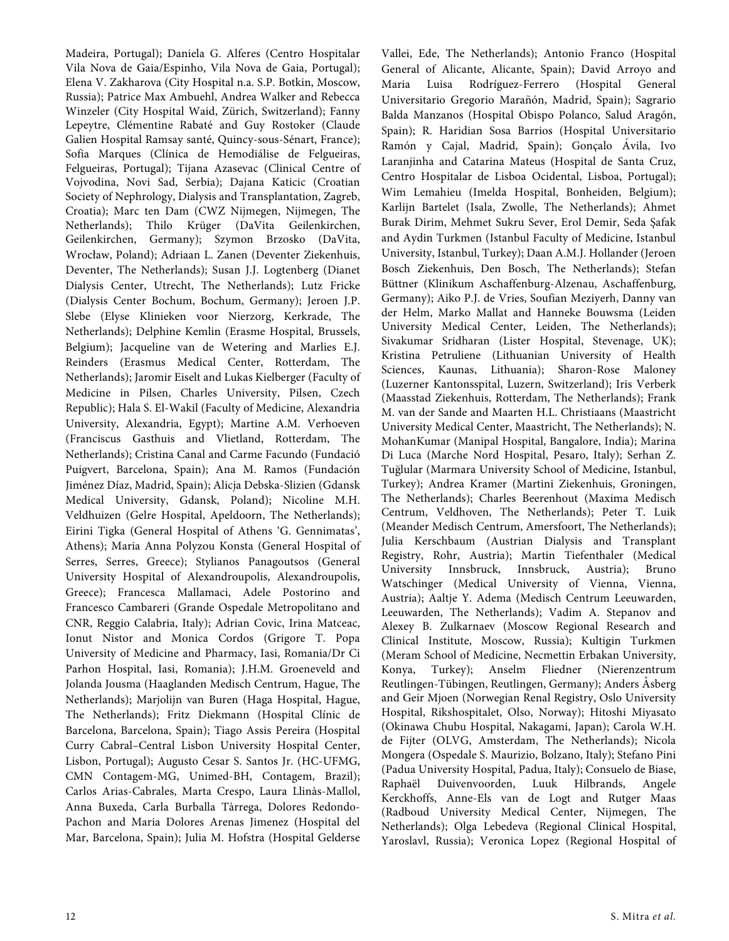Madeira, Portugal); Daniela G. Alferes (Centro Hospitalar Vila Nova de Gaia/Espinho, Vila Nova de Gaia, Portugal); Elena V. Zakharova (City Hospital n.a. S.P. Botkin, Moscow, Russia); Patrice Max Ambuehl, Andrea Walker and Rebecca Winzeler (City Hospital Waid, Zürich, Switzerland); Fanny Lepeytre, Clémentine Rabaté and Guy Rostoker (Claude Galien Hospital Ramsay santé, Quincy-sous-Sénart, France); Sofia Marques (Clínica de Hemodiálise de Felgueiras, Felgueiras, Portugal); Tijana Azasevac (Clinical Centre of Vojvodina, Novi Sad, Serbia); Dajana Katicic (Croatian Society of Nephrology, Dialysis and Transplantation, Zagreb, Croatia); Marc ten Dam (CWZ Nijmegen, Nijmegen, The Netherlands); Thilo Krüger (DaVita Geilenkirchen, Geilenkirchen, Germany); Szymon Brzosko (DaVita, Wrocław, Poland); Adriaan L. Zanen (Deventer Ziekenhuis, Deventer, The Netherlands); Susan J.J. Logtenberg (Dianet Dialysis Center, Utrecht, The Netherlands); Lutz Fricke (Dialysis Center Bochum, Bochum, Germany); Jeroen J.P. Slebe (Elyse Klinieken voor Nierzorg, Kerkrade, The Netherlands); Delphine Kemlin (Erasme Hospital, Brussels, Belgium); Jacqueline van de Wetering and Marlies E.J. Reinders (Erasmus Medical Center, Rotterdam, The Netherlands); Jaromir Eiselt and Lukas Kielberger (Faculty of Medicine in Pilsen, Charles University, Pilsen, Czech Republic); Hala S. El-Wakil (Faculty of Medicine, Alexandria University, Alexandria, Egypt); Martine A.M. Verhoeven (Franciscus Gasthuis and Vlietland, Rotterdam, The Netherlands); Cristina Canal and Carme Facundo (Fundacio´ Puigvert, Barcelona, Spain); Ana M. Ramos (Fundación Jiménez Díaz, Madrid, Spain); Alicja Debska-Slizien (Gdansk Medical University, Gdansk, Poland); Nicoline M.H. Veldhuizen (Gelre Hospital, Apeldoorn, The Netherlands); Eirini Tigka (General Hospital of Athens 'G. Gennimatas', Athens); Maria Anna Polyzou Konsta (General Hospital of Serres, Serres, Greece); Stylianos Panagoutsos (General University Hospital of Alexandroupolis, Alexandroupolis, Greece); Francesca Mallamaci, Adele Postorino and Francesco Cambareri (Grande Ospedale Metropolitano and CNR, Reggio Calabria, Italy); Adrian Covic, Irina Matceac, Ionut Nistor and Monica Cordos (Grigore T. Popa University of Medicine and Pharmacy, Iasi, Romania/Dr Ci Parhon Hospital, Iasi, Romania); J.H.M. Groeneveld and Jolanda Jousma (Haaglanden Medisch Centrum, Hague, The Netherlands); Marjolijn van Buren (Haga Hospital, Hague, The Netherlands); Fritz Diekmann (Hospital Clínic de Barcelona, Barcelona, Spain); Tiago Assis Pereira (Hospital Curry Cabral–Central Lisbon University Hospital Center, Lisbon, Portugal); Augusto Cesar S. Santos Jr. (HC-UFMG, CMN Contagem-MG, Unimed-BH, Contagem, Brazil); Carlos Arias-Cabrales, Marta Crespo, Laura Llinàs-Mallol, Anna Buxeda, Carla Burballa Tàrrega, Dolores Redondo-Pachon and Maria Dolores Arenas Jimenez (Hospital del Mar, Barcelona, Spain); Julia M. Hofstra (Hospital Gelderse

Vallei, Ede, The Netherlands); Antonio Franco (Hospital General of Alicante, Alicante, Spain); David Arroyo and Maria Luisa Rodríguez-Ferrero (Hospital General Universitario Gregorio Marañón, Madrid, Spain); Sagrario Balda Manzanos (Hospital Obispo Polanco, Salud Aragón, Spain); R. Haridian Sosa Barrios (Hospital Universitario Ramón y Cajal, Madrid, Spain); Gonçalo Ávila, Ivo Laranjinha and Catarina Mateus (Hospital de Santa Cruz, Centro Hospitalar de Lisboa Ocidental, Lisboa, Portugal); Wim Lemahieu (Imelda Hospital, Bonheiden, Belgium); Karlijn Bartelet (Isala, Zwolle, The Netherlands); Ahmet Burak Dirim, Mehmet Sukru Sever, Erol Demir, Seda Safak and Aydin Turkmen (Istanbul Faculty of Medicine, Istanbul University, Istanbul, Turkey); Daan A.M.J. Hollander (Jeroen Bosch Ziekenhuis, Den Bosch, The Netherlands); Stefan Büttner (Klinikum Aschaffenburg-Alzenau, Aschaffenburg, Germany); Aiko P.J. de Vries, Soufian Meziyerh, Danny van der Helm, Marko Mallat and Hanneke Bouwsma (Leiden University Medical Center, Leiden, The Netherlands); Sivakumar Sridharan (Lister Hospital, Stevenage, UK); Kristina Petruliene (Lithuanian University of Health Sciences, Kaunas, Lithuania); Sharon-Rose Maloney (Luzerner Kantonsspital, Luzern, Switzerland); Iris Verberk (Maasstad Ziekenhuis, Rotterdam, The Netherlands); Frank M. van der Sande and Maarten H.L. Christiaans (Maastricht University Medical Center, Maastricht, The Netherlands); N. MohanKumar (Manipal Hospital, Bangalore, India); Marina Di Luca (Marche Nord Hospital, Pesaro, Italy); Serhan Z. Tuğlular (Marmara University School of Medicine, Istanbul, Turkey); Andrea Kramer (Martini Ziekenhuis, Groningen, The Netherlands); Charles Beerenhout (Maxima Medisch Centrum, Veldhoven, The Netherlands); Peter T. Luik (Meander Medisch Centrum, Amersfoort, The Netherlands); Julia Kerschbaum (Austrian Dialysis and Transplant Registry, Rohr, Austria); Martin Tiefenthaler (Medical University Innsbruck, Innsbruck, Austria); Bruno Watschinger (Medical University of Vienna, Vienna, Austria); Aaltje Y. Adema (Medisch Centrum Leeuwarden, Leeuwarden, The Netherlands); Vadim A. Stepanov and Alexey B. Zulkarnaev (Moscow Regional Research and Clinical Institute, Moscow, Russia); Kultigin Turkmen (Meram School of Medicine, Necmettin Erbakan University, Konya, Turkey); Anselm Fliedner (Nierenzentrum Reutlingen-Tübingen, Reutlingen, Germany); Anders Asberg and Geir Mjoen (Norwegian Renal Registry, Oslo University Hospital, Rikshospitalet, Olso, Norway); Hitoshi Miyasato (Okinawa Chubu Hospital, Nakagami, Japan); Carola W.H. de Fijter (OLVG, Amsterdam, The Netherlands); Nicola Mongera (Ospedale S. Maurizio, Bolzano, Italy); Stefano Pini (Padua University Hospital, Padua, Italy); Consuelo de Biase, Raphaël Duivenvoorden, Luuk Hilbrands, Angele Kerckhoffs, Anne-Els van de Logt and Rutger Maas (Radboud University Medical Center, Nijmegen, The Netherlands); Olga Lebedeva (Regional Clinical Hospital, Yaroslavl, Russia); Veronica Lopez (Regional Hospital of